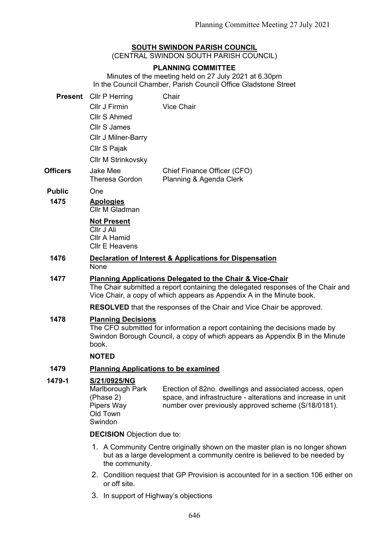### **SOUTH SWINDON PARISH COUNCIL**

(CENTRAL SWINDON SOUTH PARISH COUNCIL)

#### **PLANNING COMMITTEE**

Minutes of the meeting held on 27 July 2021 at 6.30pm In the Council Chamber, Parish Council Office Gladstone Street

|               | <b>Present</b> Cllr P Herring | Chair                                                  |
|---------------|-------------------------------|--------------------------------------------------------|
|               | Cllr J Firmin                 | Vice Chair                                             |
|               | Cllr S Ahmed                  |                                                        |
|               | Cllr S James                  |                                                        |
|               | <b>CIIr J Milner-Barry</b>    |                                                        |
|               | Cllr S Pajak                  |                                                        |
|               | <b>CIIr M Strinkovsky</b>     |                                                        |
| Officers      | Jake Mee<br>Theresa Gordon    | Chief Finance Officer (CFO)<br>Planning & Agenda Clerk |
| <b>Public</b> | `)ne                          |                                                        |
|               |                               |                                                        |

## **1475 Apologies**

Cllr M Gladman

### **Not Present**

Cllr J Ali Cllr A Hamid Cllr E Heavens

**1476 Declaration of Interest & Applications for Dispensation None** 

#### **1477 Planning Applications Delegated to the Chair & Vice-Chair**

The Chair submitted a report containing the delegated responses of the Chair and Vice Chair, a copy of which appears as Appendix A in the Minute book.

**RESOLVED** that the responses of the Chair and Vice Chair be approved.

#### **1478 Planning Decisions**

The CFO submitted for information a report containing the decisions made by Swindon Borough Council, a copy of which appears as Appendix B in the Minute book.

#### **NOTED**

### **1479 Planning Applications to be examined**

#### **1479-1 S/21/0925/NG**

Marlborough Park (Phase 2) Pipers Way Old Town Swindon Erection of 82no. dwellings and associated access, open space, and infrastructure - alterations and increase in unit number over previously approved scheme (S/18/0181).

**DECISION** Objection due to:

- 1. A Community Centre originally shown on the master plan is no longer shown but as a large development a community centre is believed to be needed by the community.
- 2. Condition request that GP Provision is accounted for in a section 106 either on or off site.
- 3. In support of Highway's objections